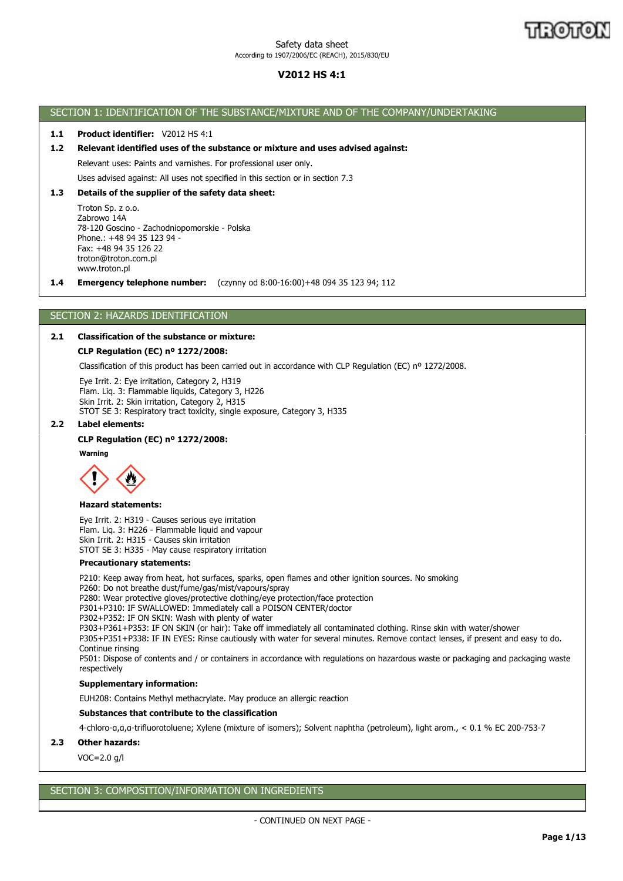# **V2012 HS 4:1**

## SECTION 1: IDENTIFICATION OF THE SUBSTANCE/MIXTURE AND OF THE COMPANY/UNDERTAKING

## **1.1 Product identifier:** V2012 HS 4:1

## **1.2 Relevant identified uses of the substance or mixture and uses advised against:**

Relevant uses: Paints and varnishes. For professional user only.

Uses advised against: All uses not specified in this section or in section 7.3

## **1.3 Details of the supplier of the safety data sheet:**

Troton Sp. z o.o. Zabrowo 14A 78-120 Goscino - Zachodniopomorskie - Polska Phone.: +48 94 35 123 94 - Fax: +48 94 35 126 22 troton@troton.com.pl www.troton.pl

**1.4 Emergency telephone number:** (czynny od 8:00-16:00)+48 094 35 123 94; 112

## SECTION 2: HAZARDS IDENTIFICATION

## **2.1 Classification of the substance or mixture:**

## **CLP Regulation (EC) nº 1272/2008:**

Classification of this product has been carried out in accordance with CLP Regulation (EC) nº 1272/2008.

Eye Irrit. 2: Eye irritation, Category 2, H319 Flam. Liq. 3: Flammable liquids, Category 3, H226 Skin Irrit. 2: Skin irritation, Category 2, H315 STOT SE 3: Respiratory tract toxicity, single exposure, Category 3, H335

## **2.2 Label elements:**

## **CLP Regulation (EC) nº 1272/2008:**

**Warning**



#### **Hazard statements:**

Eye Irrit. 2: H319 - Causes serious eye irritation Flam. Liq. 3: H226 - Flammable liquid and vapour Skin Irrit. 2: H315 - Causes skin irritation STOT SE 3: H335 - May cause respiratory irritation

#### **Precautionary statements:**

P210: Keep away from heat, hot surfaces, sparks, open flames and other ignition sources. No smoking

P260: Do not breathe dust/fume/gas/mist/vapours/spray P280: Wear protective gloves/protective clothing/eye protection/face protection P301+P310: IF SWALLOWED: Immediately call a POISON CENTER/doctor P302+P352: IF ON SKIN: Wash with plenty of water P303+P361+P353: IF ON SKIN (or hair): Take off immediately all contaminated clothing. Rinse skin with water/shower P305+P351+P338: IF IN EYES: Rinse cautiously with water for several minutes. Remove contact lenses, if present and easy to do. Continue rinsing P501: Dispose of contents and / or containers in accordance with regulations on hazardous waste or packaging and packaging waste respectively

## **Supplementary information:**

EUH208: Contains Methyl methacrylate. May produce an allergic reaction

## **Substances that contribute to the classification**

4-chloro-α,α,α-trifluorotoluene; Xylene (mixture of isomers); Solvent naphtha (petroleum), light arom., < 0.1 % EC 200-753-7

## **2.3 Other hazards:**

VOC=2.0 g/l

# SECTION 3: COMPOSITION/INFORMATION ON INGREDIENTS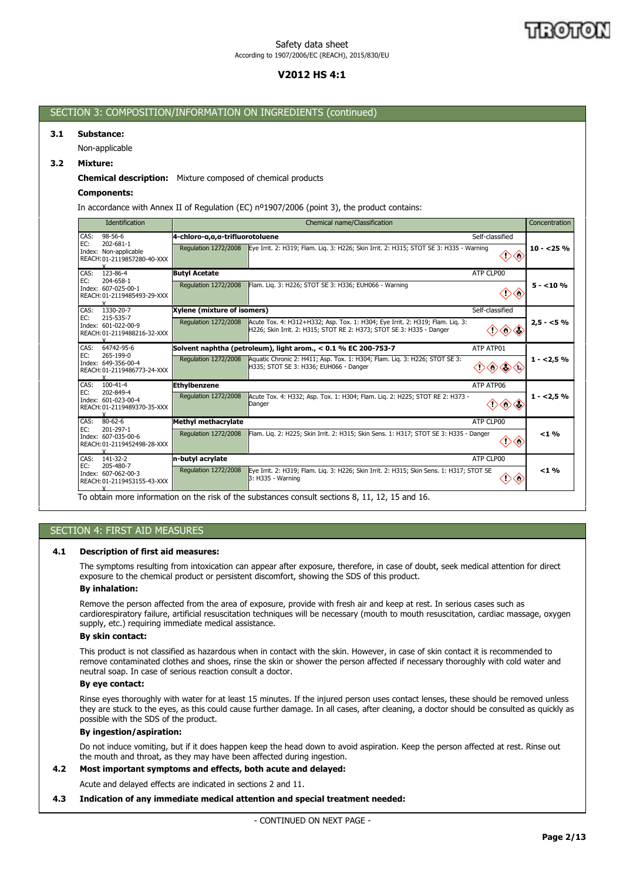# **V2012 HS 4:1**

## SECTION 3: COMPOSITION/INFORMATION ON INGREDIENTS (continued)

## **3.1 Substance:**

Non-applicable

## **3.2 Mixture:**

## **Chemical description:** Mixture composed of chemical products

## **Components:**

In accordance with Annex II of Regulation (EC) nº1907/2006 (point 3), the product contains:

| Identification                                                                                   | Chemical name/Classification                                                                                                                                                                                                                                                                                                                                                                                                                                                                                              |                       | Concentration |
|--------------------------------------------------------------------------------------------------|---------------------------------------------------------------------------------------------------------------------------------------------------------------------------------------------------------------------------------------------------------------------------------------------------------------------------------------------------------------------------------------------------------------------------------------------------------------------------------------------------------------------------|-----------------------|---------------|
| CAS:<br>98-56-6<br>EC:<br>202-681-1<br>Index: Non-applicable<br>REACH: 01-2119857280-40-XXX<br>v | 4-chloro-a,a,a-trifluorotoluene<br>Eye Irrit. 2: H319; Flam. Lig. 3: H226; Skin Irrit. 2: H315; STOT SE 3: H335 - Warning<br>Regulation 1272/2008                                                                                                                                                                                                                                                                                                                                                                         | Self-classified<br>⇔  | $10 - 25%$    |
| 123-86-4<br>CAS:<br>EC:<br>204-658-1<br>Index: 607-025-00-1<br>REACH: 01-2119485493-29-XXX<br>Y  | <b>Butvl Acetate</b><br>Regulation 1272/2008<br>Flam. Lig. 3: H226; STOT SE 3: H336; EUH066 - Warning                                                                                                                                                                                                                                                                                                                                                                                                                     | ATP CLP00             | $5 - 10%$     |
| 1330-20-7<br>CAS:<br>EC:<br>215-535-7<br>Index: 601-022-00-9<br>REACH: 01-2119488216-32-XXX      | Xylene (mixture of isomers)<br>Acute Tox. 4: H312+H332; Asp. Tox. 1: H304; Eye Irrit. 2: H319; Flam. Lig. 3:<br>Regulation 1272/2008<br>H226; Skin Irrit. 2: H315; STOT RE 2: H373; STOT SE 3: H335 - Danger                                                                                                                                                                                                                                                                                                              | Self-classified<br>◇◇ | $2,5 - 5%$    |
| 64742-95-6<br>CAS:<br>EC:<br>265-199-0<br>Index: 649-356-00-4<br>REACH: 01-2119486773-24-XXX     | Solvent naphtha (petroleum), light arom., < 0.1 % EC 200-753-7<br><b>Regulation 1272/2008</b><br>Aquatic Chronic 2: H411; Asp. Tox. 1: H304; Flam. Liq. 3: H226; STOT SE 3:<br>H335; STOT SE 3: H336; EUH066 - Danger                                                                                                                                                                                                                                                                                                     | ATP ATP01             | $1 - 2.5%$    |
| CAS:<br>$100 - 41 - 4$<br>EC:<br>202-849-4<br>Index: 601-023-00-4<br>REACH: 01-2119489370-35-XXX | <b>Ethylbenzene</b><br>Regulation 1272/2008<br>Acute Tox. 4: H332; Asp. Tox. 1: H304; Flam. Lig. 2: H225; STOT RE 2: H373 -<br>Danger                                                                                                                                                                                                                                                                                                                                                                                     | ATP ATP06<br>◇        | $1 - 2.5%$    |
| CAS: 80-62-6<br>EC:<br>201-297-1<br>Index: 607-035-00-6<br>REACH: 01-2119452498-28-XXX           | Methyl methacrylate<br>Flam. Lig. 2: H225; Skin Irrit. 2: H315; Skin Sens. 1: H317; STOT SE 3: H335 - Danger<br><b>Regulation 1272/2008</b>                                                                                                                                                                                                                                                                                                                                                                               | ATP CLP00             | < 1 %         |
| CAS: 141-32-2<br>205-480-7<br>EC:<br>Index: 607-062-00-3<br>REACH: 01-2119453155-43-XXX          | n-butyl acrylate<br>Regulation 1272/2008<br>Eye Irrit. 2: H319; Flam. Lig. 3: H226; Skin Irrit. 2: H315; Skin Sens. 1: H317; STOT SE<br>$3: H335 - Warning$<br>— 11. e e e u e eu e<br>$\mathbf{u}$ $\mathbf{v}$ $\mathbf{v}$ $\mathbf{v}$ $\mathbf{v}$ $\mathbf{v}$ $\mathbf{v}$ $\mathbf{v}$ $\mathbf{v}$ $\mathbf{v}$ $\mathbf{v}$ $\mathbf{v}$ $\mathbf{v}$ $\mathbf{v}$ $\mathbf{v}$ $\mathbf{v}$ $\mathbf{v}$ $\mathbf{v}$ $\mathbf{v}$ $\mathbf{v}$ $\mathbf{v}$ $\mathbf{v}$ $\mathbf{v}$ $\mathbf{v}$ $\mathbf{$ | ATP CLP00             | < 1 %         |

To obtain more information on the risk of the substances consult sections 8, 11, 12, 15 and 16.

# SECTION 4: FIRST AID MEASURES

## **4.1 Description of first aid measures:**

The symptoms resulting from intoxication can appear after exposure, therefore, in case of doubt, seek medical attention for direct exposure to the chemical product or persistent discomfort, showing the SDS of this product.

## **By inhalation:**

Remove the person affected from the area of exposure, provide with fresh air and keep at rest. In serious cases such as cardiorespiratory failure, artificial resuscitation techniques will be necessary (mouth to mouth resuscitation, cardiac massage, oxygen supply, etc.) requiring immediate medical assistance.

#### **By skin contact:**

This product is not classified as hazardous when in contact with the skin. However, in case of skin contact it is recommended to remove contaminated clothes and shoes, rinse the skin or shower the person affected if necessary thoroughly with cold water and neutral soap. In case of serious reaction consult a doctor.

## **By eye contact:**

Rinse eyes thoroughly with water for at least 15 minutes. If the injured person uses contact lenses, these should be removed unless they are stuck to the eyes, as this could cause further damage. In all cases, after cleaning, a doctor should be consulted as quickly as possible with the SDS of the product.

## **By ingestion/aspiration:**

Do not induce vomiting, but if it does happen keep the head down to avoid aspiration. Keep the person affected at rest. Rinse out the mouth and throat, as they may have been affected during ingestion.

# **4.2 Most important symptoms and effects, both acute and delayed:**

Acute and delayed effects are indicated in sections 2 and 11.

## **4.3 Indication of any immediate medical attention and special treatment needed:**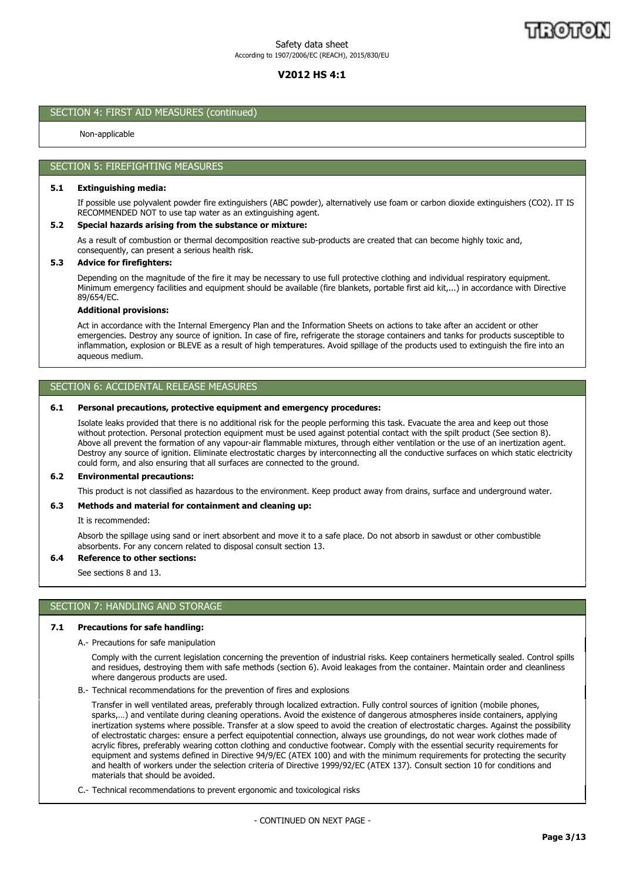# **V2012 HS 4:1**

## SECTION 4: FIRST AID MEASURES (continued)

Non-applicable

## SECTION 5: FIREFIGHTING MEASURES

## **5.1 Extinguishing media:**

If possible use polyvalent powder fire extinguishers (ABC powder), alternatively use foam or carbon dioxide extinguishers (CO2). IT IS RECOMMENDED NOT to use tap water as an extinguishing agent.

#### **5.2 Special hazards arising from the substance or mixture:**

As a result of combustion or thermal decomposition reactive sub-products are created that can become highly toxic and, consequently, can present a serious health risk.

## **5.3 Advice for firefighters:**

Depending on the magnitude of the fire it may be necessary to use full protective clothing and individual respiratory equipment. Minimum emergency facilities and equipment should be available (fire blankets, portable first aid kit,...) in accordance with Directive 89/654/EC.

#### **Additional provisions:**

Act in accordance with the Internal Emergency Plan and the Information Sheets on actions to take after an accident or other emergencies. Destroy any source of ignition. In case of fire, refrigerate the storage containers and tanks for products susceptible to inflammation, explosion or BLEVE as a result of high temperatures. Avoid spillage of the products used to extinguish the fire into an aqueous medium.

# SECTION 6: ACCIDENTAL RELEASE MEASURES

## **6.1 Personal precautions, protective equipment and emergency procedures:**

Isolate leaks provided that there is no additional risk for the people performing this task. Evacuate the area and keep out those without protection. Personal protection equipment must be used against potential contact with the spilt product (See section 8). Above all prevent the formation of any vapour-air flammable mixtures, through either ventilation or the use of an inertization agent. Destroy any source of ignition. Eliminate electrostatic charges by interconnecting all the conductive surfaces on which static electricity could form, and also ensuring that all surfaces are connected to the ground.

## **6.2 Environmental precautions:**

This product is not classified as hazardous to the environment. Keep product away from drains, surface and underground water.

## **6.3 Methods and material for containment and cleaning up:**

It is recommended:

Absorb the spillage using sand or inert absorbent and move it to a safe place. Do not absorb in sawdust or other combustible absorbents. For any concern related to disposal consult section 13.

## **6.4 Reference to other sections:**

See sections 8 and 13.

## SECTION 7: HANDLING AND STORAGE

## **7.1 Precautions for safe handling:**

A.- Precautions for safe manipulation

Comply with the current legislation concerning the prevention of industrial risks. Keep containers hermetically sealed. Control spills and residues, destroying them with safe methods (section 6). Avoid leakages from the container. Maintain order and cleanliness where dangerous products are used.

B.- Technical recommendations for the prevention of fires and explosions

Transfer in well ventilated areas, preferably through localized extraction. Fully control sources of ignition (mobile phones, sparks,…) and ventilate during cleaning operations. Avoid the existence of dangerous atmospheres inside containers, applying inertization systems where possible. Transfer at a slow speed to avoid the creation of electrostatic charges. Against the possibility of electrostatic charges: ensure a perfect equipotential connection, always use groundings, do not wear work clothes made of acrylic fibres, preferably wearing cotton clothing and conductive footwear. Comply with the essential security requirements for equipment and systems defined in Directive 94/9/EC (ATEX 100) and with the minimum requirements for protecting the security and health of workers under the selection criteria of Directive 1999/92/EC (ATEX 137). Consult section 10 for conditions and materials that should be avoided.

C.- Technical recommendations to prevent ergonomic and toxicological risks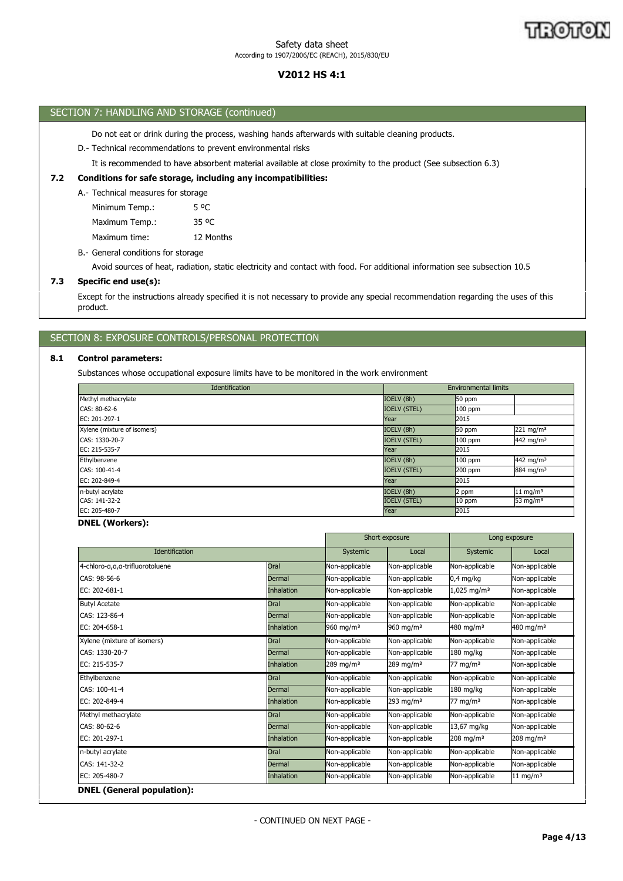# **V2012 HS 4:1**

| SECTION 7: HANDLING AND STORAGE (continued) |  |
|---------------------------------------------|--|
|---------------------------------------------|--|

Do not eat or drink during the process, washing hands afterwards with suitable cleaning products.

# D.- Technical recommendations to prevent environmental risks

It is recommended to have absorbent material available at close proximity to the product (See subsection 6.3)

## **7.2 Conditions for safe storage, including any incompatibilities:**

A.- Technical measures for storage

| Minimum Temp.: | 5 OC              |
|----------------|-------------------|
| Maximum Temp.: | 35 <sup>o</sup> C |
| Maximum time:  | 12 Months         |

B.- General conditions for storage

Avoid sources of heat, radiation, static electricity and contact with food. For additional information see subsection 10.5

## **7.3 Specific end use(s):**

Except for the instructions already specified it is not necessary to provide any special recommendation regarding the uses of this product.

# SECTION 8: EXPOSURE CONTROLS/PERSONAL PROTECTION

## **8.1 Control parameters:**

Substances whose occupational exposure limits have to be monitored in the work environment

| Identification              |                     | <b>Environmental limits</b> |                       |
|-----------------------------|---------------------|-----------------------------|-----------------------|
| Methyl methacrylate         | IOELV (8h)          | 50 ppm                      |                       |
| CAS: 80-62-6                | <b>IOELV (STEL)</b> | $100$ ppm                   |                       |
| EC: 201-297-1               | Year                | 2015                        |                       |
| Xylene (mixture of isomers) | IOELV (8h)          | 50 ppm                      | 221 mg/m $3$          |
| CAS: 1330-20-7              | <b>IOELV (STEL)</b> | $100$ ppm                   | 442 mg/m <sup>3</sup> |
| EC: 215-535-7               | Year                | 2015                        |                       |
| Ethylbenzene                | IOELV (8h)          | $100$ ppm                   | 442 mg/m <sup>3</sup> |
| CAS: 100-41-4               | <b>IOELV (STEL)</b> | 200 ppm                     | 884 mg/m <sup>3</sup> |
| EC: 202-849-4               | Year                | 2015                        |                       |
| n-butyl acrylate            | IOELV (8h)          | 2 ppm                       | $11 \text{ mg/m}^3$   |
| CAS: 141-32-2               | <b>IOELV (STEL)</b> | $10$ ppm                    | 53 mg/ $m3$           |
| EC: 205-480-7               | Year                | 2015                        |                       |

## **DNEL (Workers):**

|                                 |            |                         | Short exposure        |                           | Long exposure          |  |
|---------------------------------|------------|-------------------------|-----------------------|---------------------------|------------------------|--|
| <b>Identification</b>           |            | Systemic                | Local                 | Systemic                  | Local                  |  |
| 4-chloro-a,a,a-trifluorotoluene | Oral       | Non-applicable          | Non-applicable        | Non-applicable            | Non-applicable         |  |
| CAS: 98-56-6                    | Dermal     | Non-applicable          | Non-applicable        | $0.4$ mg/kg               | Non-applicable         |  |
| EC: 202-681-1                   | Inhalation | Non-applicable          | Non-applicable        | $1,025$ mg/m <sup>3</sup> | Non-applicable         |  |
| <b>Butyl Acetate</b>            | Oral       | Non-applicable          | Non-applicable        | Non-applicable            | Non-applicable         |  |
| CAS: 123-86-4                   | Dermal     | Non-applicable          | Non-applicable        | Non-applicable            | Non-applicable         |  |
| EC: 204-658-1                   | Inhalation | 960 mg/m <sup>3</sup>   | 960 mg/m $3$          | 480 mg/m $3$              | 480 mg/m $3$           |  |
| Xylene (mixture of isomers)     | Oral       | Non-applicable          | Non-applicable        | Non-applicable            | Non-applicable         |  |
| CAS: 1330-20-7                  | Dermal     | Non-applicable          | Non-applicable        | 180 mg/kg                 | Non-applicable         |  |
| EC: 215-535-7                   | Inhalation | $289$ mg/m <sup>3</sup> | 289 mg/m $3$          | 77 mg/m $3$               | Non-applicable         |  |
| Ethylbenzene                    | Oral       | Non-applicable          | Non-applicable        | Non-applicable            | Non-applicable         |  |
| CAS: 100-41-4                   | Dermal     | Non-applicable          | Non-applicable        | $180$ mg/kg               | Non-applicable         |  |
| EC: 202-849-4                   | Inhalation | Non-applicable          | 293 mg/m <sup>3</sup> | 77 mg/m $3$               | Non-applicable         |  |
| Methyl methacrylate             | Oral       | Non-applicable          | Non-applicable        | Non-applicable            | Non-applicable         |  |
| CAS: 80-62-6                    | Dermal     | Non-applicable          | Non-applicable        | 13,67 mg/kg               | Non-applicable         |  |
| EC: 201-297-1                   | Inhalation | Non-applicable          | Non-applicable        | 208 mg/m $3$              | 208 mg/m $3$           |  |
| n-butyl acrylate                | Oral       | Non-applicable          | Non-applicable        | Non-applicable            | Non-applicable         |  |
| CAS: 141-32-2                   | Dermal     | Non-applicable          | Non-applicable        | Non-applicable            | Non-applicable         |  |
| EC: 205-480-7                   | Inhalation | Non-applicable          | Non-applicable        | Non-applicable            | $11$ mg/m <sup>3</sup> |  |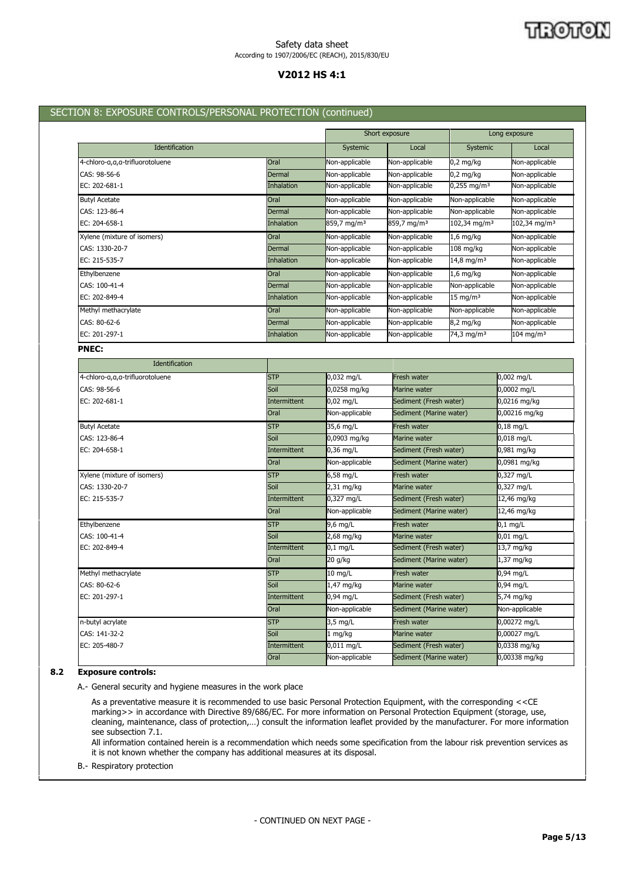# **V2012 HS 4:1**

## SECTION 8: EXPOSURE CONTROLS/PERSONAL PROTECTION (continued)

|                                 |               |                         | Short exposure          |                          | Long exposure            |
|---------------------------------|---------------|-------------------------|-------------------------|--------------------------|--------------------------|
| Identification                  |               | Systemic                | Local                   | Systemic                 | Local                    |
| 4-chloro-a,a,a-trifluorotoluene | Oral          | Non-applicable          | Non-applicable          | $0,2$ mg/kg              | Non-applicable           |
| CAS: 98-56-6                    | <b>Dermal</b> | Non-applicable          | Non-applicable          | $0.2$ mg/kg              | Non-applicable           |
| EC: 202-681-1                   | Inhalation    | Non-applicable          | Non-applicable          | $0,255 \text{ mg/m}^3$   | Non-applicable           |
| <b>Butyl Acetate</b>            | Oral          | Non-applicable          | Non-applicable          | Non-applicable           | Non-applicable           |
| CAS: 123-86-4                   | Dermal        | Non-applicable          | Non-applicable          | Non-applicable           | Non-applicable           |
| EC: 204-658-1                   | Inhalation    | 859,7 mg/m <sup>3</sup> | 859,7 mg/m <sup>3</sup> | 102,34 mg/m <sup>3</sup> | 102,34 mg/m <sup>3</sup> |
| Xylene (mixture of isomers)     | Oral          | Non-applicable          | Non-applicable          | $1,6$ mg/kg              | Non-applicable           |
| CAS: 1330-20-7                  | Dermal        | Non-applicable          | Non-applicable          | 108 mg/kg                | Non-applicable           |
| EC: 215-535-7                   | Inhalation    | Non-applicable          | Non-applicable          | 14,8 mg/m <sup>3</sup>   | Non-applicable           |
| Ethylbenzene                    | Oral          | Non-applicable          | Non-applicable          | 1,6 mg/kg                | Non-applicable           |
| CAS: 100-41-4                   | Dermal        | Non-applicable          | Non-applicable          | Non-applicable           | Non-applicable           |
| EC: 202-849-4                   | Inhalation    | Non-applicable          | Non-applicable          | $15 \text{ mg/m}^3$      | Non-applicable           |
| Methyl methacrylate             | Oral          | Non-applicable          | Non-applicable          | Non-applicable           | Non-applicable           |
| CAS: 80-62-6                    | Dermal        | Non-applicable          | Non-applicable          | 8,2 mg/kg                | Non-applicable           |
| EC: 201-297-1                   | Inhalation    | Non-applicable          | Non-applicable          | 74,3 mg/m <sup>3</sup>   | $104$ mg/m <sup>3</sup>  |
| <b>PNEC:</b>                    |               |                         |                         |                          |                          |
| Identification                  |               |                         |                         |                          |                          |
| 4-chloro-a,a,a-trifluorotoluene | <b>STP</b>    | 0,032 mg/L              | <b>Fresh water</b>      |                          | 0,002 mg/L               |
| CAS: 98-56-6                    | Soil          | 0,0258 mg/kg            | Marine water            |                          | 0,0002 mg/L              |
| EC: 202-681-1                   | Intermittent  | 0,02 mg/L               | Sediment (Fresh water)  |                          | 0,0216 mg/kg             |
|                                 | Oral          | Non-applicable          | Sediment (Marine water) |                          | 0,00216 mg/kg            |
| <b>Butyl Acetate</b>            | <b>STP</b>    | 35,6 mg/L               | Fresh water             |                          | $0,18$ mg/L              |
| CAS: 123-86-4                   | Soil          | 0,0903 mg/kg            | Marine water            |                          | 0,018 mg/L               |
| EC: 204-658-1                   | Intermittent  | 0,36 mg/L               | Sediment (Fresh water)  |                          | 0,981 mg/kg              |
|                                 | Oral          | Non-applicable          | Sediment (Marine water) |                          | 0,0981 mg/kg             |
| Xylene (mixture of isomers)     | <b>STP</b>    | 6,58 mg/L               | Fresh water             |                          | 0,327 mg/L               |
| CAS: 1330-20-7                  | Soil          | 2,31 mg/kg              | Marine water            |                          | 0,327 mg/L               |
| EC: 215-535-7                   | Intermittent  | 0,327 mg/L              | Sediment (Fresh water)  |                          | $12,46$ mg/kg            |
|                                 | Oral          | Non-applicable          | Sediment (Marine water) |                          | 12,46 mg/kg              |
| Ethylbenzene                    | <b>STP</b>    | 9,6 mg/L                | Fresh water             |                          | $0.1$ mg/L               |
| CAS: 100-41-4                   | Soil          | 2,68 mg/kg              | Marine water            |                          | $0,01$ mg/L              |
| EC: 202-849-4                   | Intermittent  | $0,1$ mg/L              | Sediment (Fresh water)  |                          | $13,7$ mg/kg             |
|                                 | Oral          | 20 g/kg                 | Sediment (Marine water) |                          | 1,37 mg/kg               |
| Methyl methacrylate             | <b>STP</b>    | 10 mg/L                 | Fresh water             |                          | 0,94 mg/L                |

| 8.2 | <b>Exposure controls:</b> |                     |                    |                         |                      |
|-----|---------------------------|---------------------|--------------------|-------------------------|----------------------|
|     |                           | Oral                | Non-applicable     | Sediment (Marine water) | $0,00338$ mg/kg      |
|     | EC: 205-480-7             | Intermittent        | $0.011$ mg/L       | Sediment (Fresh water)  | $0.0338$ mg/kg       |
|     | CAS: 141-32-2             | Soil                | 1 ma/ka            | Marine water            | $0,00027$ mg/L       |
|     | n-butyl acrylate          | <b>STP</b>          | $3.5 \text{ mg/L}$ | Fresh water             | $0,00272$ mg/L       |
|     |                           | Oral                | Non-applicable     | Sediment (Marine water) | Non-applicable       |
|     | EC: 201-297-1             | <b>Intermittent</b> | $0.94$ ma/L        | Sediment (Fresh water)  | $5,74 \text{ mg/kg}$ |

CAS: 80-62-6 **CAS: 80-62-6** Soil Soil 1,47 mg/kg Marine water 0,94 mg/L

A.- General security and hygiene measures in the work place

As a preventative measure it is recommended to use basic Personal Protection Equipment, with the corresponding <<CE marking>> in accordance with Directive 89/686/EC. For more information on Personal Protection Equipment (storage, use, cleaning, maintenance, class of protection,…) consult the information leaflet provided by the manufacturer. For more information see subsection 7.1.

All information contained herein is a recommendation which needs some specification from the labour risk prevention services as it is not known whether the company has additional measures at its disposal.

B.- Respiratory protection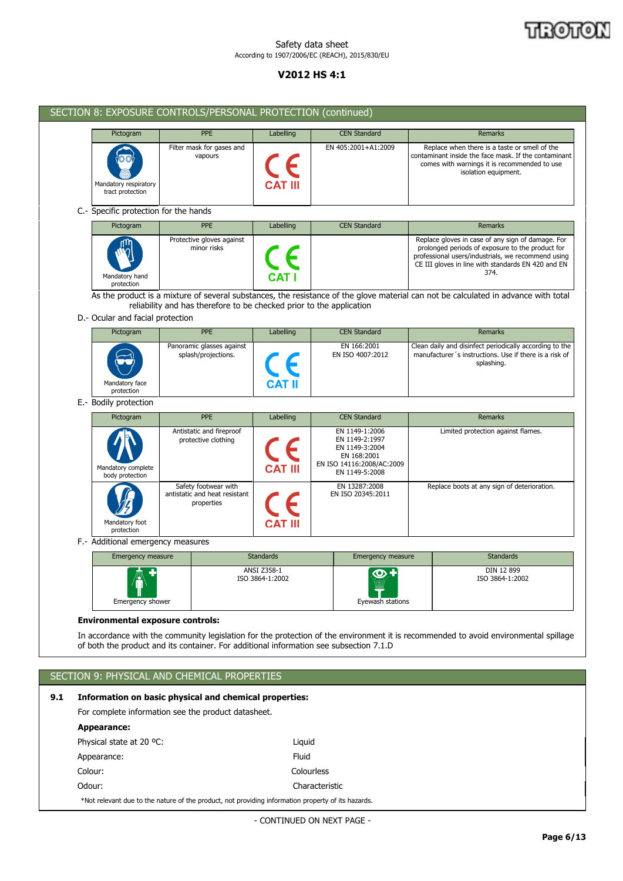## THOTO N

## Safety data sheet According to 1907/2006/EC (REACH), 2015/830/EU

# **V2012 HS 4:1**

|     |                                                                                                                                                                                                             | SECTION 8: EXPOSURE CONTROLS/PERSONAL PROTECTION (continued)                                       |                                |                |                                                                                                                  |  |                                                                                                                                                                                                                           |  |  |
|-----|-------------------------------------------------------------------------------------------------------------------------------------------------------------------------------------------------------------|----------------------------------------------------------------------------------------------------|--------------------------------|----------------|------------------------------------------------------------------------------------------------------------------|--|---------------------------------------------------------------------------------------------------------------------------------------------------------------------------------------------------------------------------|--|--|
|     | Pictogram                                                                                                                                                                                                   | <b>PPE</b>                                                                                         | Labelling                      |                | <b>CEN Standard</b>                                                                                              |  | Remarks                                                                                                                                                                                                                   |  |  |
|     | Mandatory respiratory<br>tract protection                                                                                                                                                                   | Filter mask for gases and<br>vapours                                                               |                                |                | EN 405:2001+A1:2009                                                                                              |  | Replace when there is a taste or smell of the<br>contaminant inside the face mask. If the contaminant<br>comes with warnings it is recommended to use<br>isolation equipment.                                             |  |  |
|     | C.- Specific protection for the hands                                                                                                                                                                       |                                                                                                    |                                |                |                                                                                                                  |  |                                                                                                                                                                                                                           |  |  |
|     | Pictogram                                                                                                                                                                                                   | <b>PPE</b>                                                                                         | Labelling                      |                | <b>CEN Standard</b>                                                                                              |  | Remarks                                                                                                                                                                                                                   |  |  |
|     | Mandatory hand<br>protection                                                                                                                                                                                | Protective gloves against<br>minor risks                                                           |                                |                |                                                                                                                  |  | Replace gloves in case of any sign of damage. For<br>prolonged periods of exposure to the product for<br>professional users/industrials, we recommend using<br>CE III gloves in line with standards EN 420 and EN<br>374. |  |  |
|     | As the product is a mixture of several substances, the resistance of the glove material can not be calculated in advance with total<br>reliability and has therefore to be checked prior to the application |                                                                                                    |                                |                |                                                                                                                  |  |                                                                                                                                                                                                                           |  |  |
|     | D.- Ocular and facial protection                                                                                                                                                                            |                                                                                                    |                                |                |                                                                                                                  |  |                                                                                                                                                                                                                           |  |  |
|     | <b>PPE</b><br>Pictogram<br>Labelling<br><b>CEN Standard</b><br><b>Remarks</b>                                                                                                                               |                                                                                                    |                                |                |                                                                                                                  |  |                                                                                                                                                                                                                           |  |  |
|     | Mandatory face<br>protection                                                                                                                                                                                | Panoramic glasses against<br>splash/projections.                                                   |                                |                | EN 166:2001<br>EN ISO 4007:2012                                                                                  |  | Clean daily and disinfect periodically according to the<br>manufacturer's instructions. Use if there is a risk of<br>splashing.                                                                                           |  |  |
|     | E.- Bodily protection                                                                                                                                                                                       |                                                                                                    |                                |                |                                                                                                                  |  |                                                                                                                                                                                                                           |  |  |
|     | Pictogram                                                                                                                                                                                                   | <b>PPE</b>                                                                                         | Labelling                      |                | <b>CEN Standard</b>                                                                                              |  | Remarks                                                                                                                                                                                                                   |  |  |
|     | Mandatory complete<br>body protection                                                                                                                                                                       | Antistatic and fireproof<br>protective clothing                                                    |                                |                | EN 1149-1:2006<br>EN 1149-2:1997<br>EN 1149-3:2004<br>EN 168:2001<br>EN ISO 14116:2008/AC:2009<br>EN 1149-5:2008 |  | Limited protection against flames.                                                                                                                                                                                        |  |  |
|     | Mandatory foot<br>protection                                                                                                                                                                                | Safety footwear with<br>antistatic and heat resistant<br>properties                                |                                |                | EN 13287:2008<br>EN ISO 20345:2011                                                                               |  | Replace boots at any sign of deterioration.                                                                                                                                                                               |  |  |
|     | F.- Additional emergency measures                                                                                                                                                                           |                                                                                                    |                                |                |                                                                                                                  |  |                                                                                                                                                                                                                           |  |  |
|     | Emergency measure                                                                                                                                                                                           |                                                                                                    | <b>Standards</b>               |                | <b>Emergency measure</b>                                                                                         |  | <b>Standards</b>                                                                                                                                                                                                          |  |  |
|     | <b>Emergency shower</b>                                                                                                                                                                                     |                                                                                                    | ANSI Z358-1<br>ISO 3864-1:2002 |                | $\overline{O}$ .<br>Eyewash stations                                                                             |  | DIN 12 899<br>ISO 3864-1:2002                                                                                                                                                                                             |  |  |
|     | <b>Environmental exposure controls:</b>                                                                                                                                                                     |                                                                                                    |                                |                |                                                                                                                  |  |                                                                                                                                                                                                                           |  |  |
|     |                                                                                                                                                                                                             | of both the product and its container. For additional information see subsection 7.1.D             |                                |                |                                                                                                                  |  | In accordance with the community legislation for the protection of the environment it is recommended to avoid environmental spillage                                                                                      |  |  |
|     |                                                                                                                                                                                                             | SECTION 9: PHYSICAL AND CHEMICAL PROPERTIES                                                        |                                |                |                                                                                                                  |  |                                                                                                                                                                                                                           |  |  |
|     |                                                                                                                                                                                                             |                                                                                                    |                                |                |                                                                                                                  |  |                                                                                                                                                                                                                           |  |  |
| 9.1 |                                                                                                                                                                                                             | Information on basic physical and chemical properties:                                             |                                |                |                                                                                                                  |  |                                                                                                                                                                                                                           |  |  |
|     |                                                                                                                                                                                                             | For complete information see the product datasheet.                                                |                                |                |                                                                                                                  |  |                                                                                                                                                                                                                           |  |  |
|     | <b>Appearance:</b>                                                                                                                                                                                          |                                                                                                    |                                |                |                                                                                                                  |  |                                                                                                                                                                                                                           |  |  |
|     | Physical state at 20 °C:                                                                                                                                                                                    |                                                                                                    | Liquid                         |                |                                                                                                                  |  |                                                                                                                                                                                                                           |  |  |
|     | Appearance:<br>Colour:                                                                                                                                                                                      |                                                                                                    | Fluid                          | Colourless     |                                                                                                                  |  |                                                                                                                                                                                                                           |  |  |
|     | Odour:                                                                                                                                                                                                      |                                                                                                    |                                | Characteristic |                                                                                                                  |  |                                                                                                                                                                                                                           |  |  |
|     |                                                                                                                                                                                                             | *Not relevant due to the nature of the product, not providing information property of its hazards. |                                |                |                                                                                                                  |  |                                                                                                                                                                                                                           |  |  |
|     |                                                                                                                                                                                                             |                                                                                                    | - CONTINUED ON NEXT PAGE -     |                |                                                                                                                  |  |                                                                                                                                                                                                                           |  |  |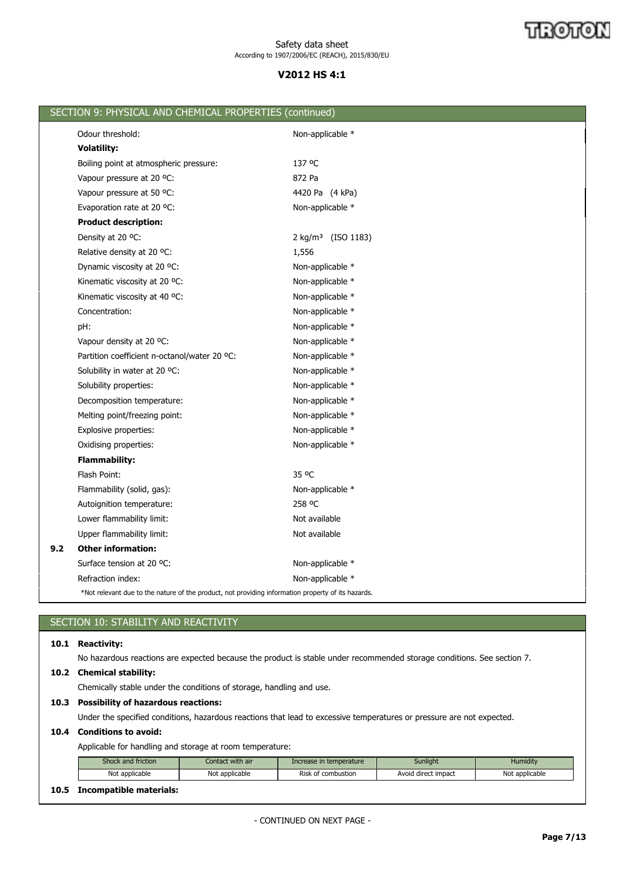# **V2012 HS 4:1**

|     | SECTION 9: PHYSICAL AND CHEMICAL PROPERTIES (continued)                                            |                                |
|-----|----------------------------------------------------------------------------------------------------|--------------------------------|
|     | Odour threshold:                                                                                   | Non-applicable *               |
|     | <b>Volatility:</b>                                                                                 |                                |
|     | Boiling point at atmospheric pressure:                                                             | 137 °C                         |
|     | Vapour pressure at 20 °C:                                                                          | 872 Pa                         |
|     | Vapour pressure at 50 °C:                                                                          | 4420 Pa (4 kPa)                |
|     | Evaporation rate at 20 °C:                                                                         | Non-applicable *               |
|     | <b>Product description:</b>                                                                        |                                |
|     | Density at 20 °C:                                                                                  | 2 kg/m <sup>3</sup> (ISO 1183) |
|     | Relative density at 20 °C:                                                                         | 1,556                          |
|     | Dynamic viscosity at 20 °C:                                                                        | Non-applicable *               |
|     | Kinematic viscosity at 20 °C:                                                                      | Non-applicable *               |
|     | Kinematic viscosity at 40 °C:                                                                      | Non-applicable *               |
|     | Concentration:                                                                                     | Non-applicable *               |
|     | pH:                                                                                                | Non-applicable *               |
|     | Vapour density at 20 °C:                                                                           | Non-applicable *               |
|     | Partition coefficient n-octanol/water 20 °C:                                                       | Non-applicable *               |
|     | Solubility in water at 20 °C:                                                                      | Non-applicable *               |
|     | Solubility properties:                                                                             | Non-applicable *               |
|     | Decomposition temperature:                                                                         | Non-applicable *               |
|     | Melting point/freezing point:                                                                      | Non-applicable *               |
|     | Explosive properties:                                                                              | Non-applicable *               |
|     | Oxidising properties:                                                                              | Non-applicable *               |
|     | <b>Flammability:</b>                                                                               |                                |
|     | Flash Point:                                                                                       | 35 °C                          |
|     | Flammability (solid, gas):                                                                         | Non-applicable *               |
|     | Autoignition temperature:                                                                          | 258 °C                         |
|     | Lower flammability limit:                                                                          | Not available                  |
|     | Upper flammability limit:                                                                          | Not available                  |
| 9.2 | <b>Other information:</b>                                                                          |                                |
|     | Surface tension at 20 °C:                                                                          | Non-applicable *               |
|     | Refraction index:                                                                                  | Non-applicable *               |
|     | *Not relevant due to the nature of the product, not providing information property of its hazards. |                                |
|     |                                                                                                    |                                |

# SECTION 10: STABILITY AND REACTIVITY

# **10.1 Reactivity:**

No hazardous reactions are expected because the product is stable under recommended storage conditions. See section 7.

# **10.2 Chemical stability:**

Chemically stable under the conditions of storage, handling and use.

## **10.3 Possibility of hazardous reactions:**

Under the specified conditions, hazardous reactions that lead to excessive temperatures or pressure are not expected.

# **10.4 Conditions to avoid:**

Applicable for handling and storage at room temperature:

|    | <b>Shock and friction</b> | Contact with air | Increase in temperature | <b>Sunlight</b>     | Humidity       |
|----|---------------------------|------------------|-------------------------|---------------------|----------------|
|    | Not applicable            | Not applicable   | Risk of combustion      | Avoid direct impact | Not applicable |
| __ | --- -                     |                  |                         |                     |                |

# **10.5 Incompatible materials:**

- CONTINUED ON NEXT PAGE -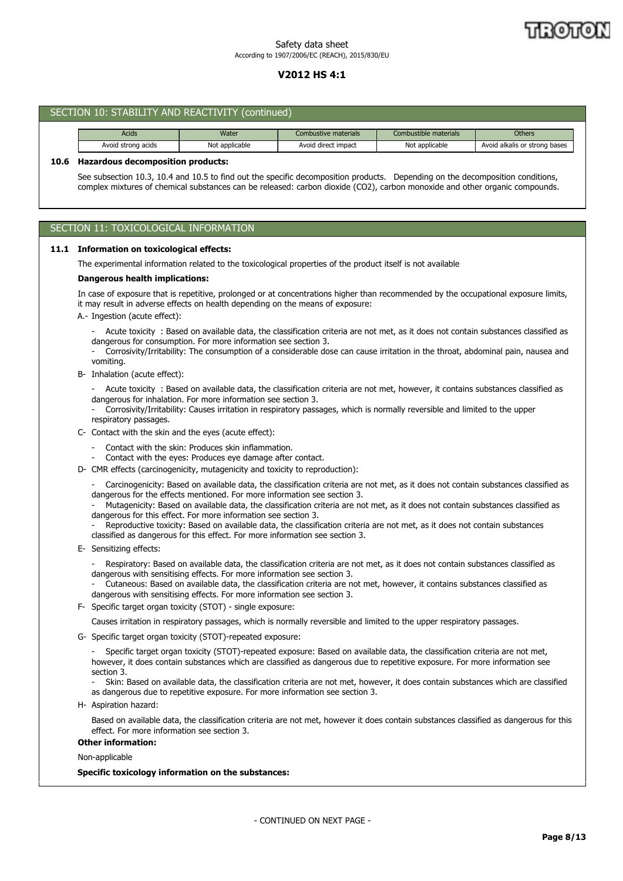# **V2012 HS 4:1**

|      | SECTION 10: STABILITY AND REACTIVITY (continued)                                                                                                                                                                                                                                                                                                                                                                                                                                                                                                                                                                |                                                                                                                                                                                                                            |                                                                                                                                                                                                                                                                |                       |                                                                                                                                    |  |  |
|------|-----------------------------------------------------------------------------------------------------------------------------------------------------------------------------------------------------------------------------------------------------------------------------------------------------------------------------------------------------------------------------------------------------------------------------------------------------------------------------------------------------------------------------------------------------------------------------------------------------------------|----------------------------------------------------------------------------------------------------------------------------------------------------------------------------------------------------------------------------|----------------------------------------------------------------------------------------------------------------------------------------------------------------------------------------------------------------------------------------------------------------|-----------------------|------------------------------------------------------------------------------------------------------------------------------------|--|--|
|      | Acids                                                                                                                                                                                                                                                                                                                                                                                                                                                                                                                                                                                                           | Water                                                                                                                                                                                                                      | Combustive materials                                                                                                                                                                                                                                           | Combustible materials | <b>Others</b>                                                                                                                      |  |  |
|      | Avoid strong acids                                                                                                                                                                                                                                                                                                                                                                                                                                                                                                                                                                                              | Not applicable                                                                                                                                                                                                             | Avoid direct impact                                                                                                                                                                                                                                            | Not applicable        | Avoid alkalis or strong bases                                                                                                      |  |  |
| 10.6 | <b>Hazardous decomposition products:</b><br>See subsection 10.3, 10.4 and 10.5 to find out the specific decomposition products. Depending on the decomposition conditions,<br>complex mixtures of chemical substances can be released: carbon dioxide (CO2), carbon monoxide and other organic compounds.                                                                                                                                                                                                                                                                                                       |                                                                                                                                                                                                                            |                                                                                                                                                                                                                                                                |                       |                                                                                                                                    |  |  |
|      | SECTION 11: TOXICOLOGICAL INFORMATION                                                                                                                                                                                                                                                                                                                                                                                                                                                                                                                                                                           |                                                                                                                                                                                                                            |                                                                                                                                                                                                                                                                |                       |                                                                                                                                    |  |  |
|      | 11.1 Information on toxicological effects:                                                                                                                                                                                                                                                                                                                                                                                                                                                                                                                                                                      |                                                                                                                                                                                                                            |                                                                                                                                                                                                                                                                |                       |                                                                                                                                    |  |  |
|      | The experimental information related to the toxicological properties of the product itself is not available                                                                                                                                                                                                                                                                                                                                                                                                                                                                                                     |                                                                                                                                                                                                                            |                                                                                                                                                                                                                                                                |                       |                                                                                                                                    |  |  |
|      | <b>Dangerous health implications:</b>                                                                                                                                                                                                                                                                                                                                                                                                                                                                                                                                                                           |                                                                                                                                                                                                                            |                                                                                                                                                                                                                                                                |                       |                                                                                                                                    |  |  |
|      | In case of exposure that is repetitive, prolonged or at concentrations higher than recommended by the occupational exposure limits,<br>it may result in adverse effects on health depending on the means of exposure:<br>A.- Ingestion (acute effect):<br>- Acute toxicity: Based on available data, the classification criteria are not met, as it does not contain substances classified as<br>dangerous for consumption. For more information see section 3.<br>Corrosivity/Irritability: The consumption of a considerable dose can cause irritation in the throat, abdominal pain, nausea and<br>vomiting. |                                                                                                                                                                                                                            |                                                                                                                                                                                                                                                                |                       |                                                                                                                                    |  |  |
|      | B- Inhalation (acute effect):                                                                                                                                                                                                                                                                                                                                                                                                                                                                                                                                                                                   |                                                                                                                                                                                                                            |                                                                                                                                                                                                                                                                |                       |                                                                                                                                    |  |  |
|      | respiratory passages.                                                                                                                                                                                                                                                                                                                                                                                                                                                                                                                                                                                           | dangerous for inhalation. For more information see section 3.                                                                                                                                                              | Acute toxicity : Based on available data, the classification criteria are not met, however, it contains substances classified as<br>Corrosivity/Irritability: Causes irritation in respiratory passages, which is normally reversible and limited to the upper |                       |                                                                                                                                    |  |  |
|      | C- Contact with the skin and the eyes (acute effect):                                                                                                                                                                                                                                                                                                                                                                                                                                                                                                                                                           |                                                                                                                                                                                                                            |                                                                                                                                                                                                                                                                |                       |                                                                                                                                    |  |  |
|      |                                                                                                                                                                                                                                                                                                                                                                                                                                                                                                                                                                                                                 | Contact with the skin: Produces skin inflammation.<br>Contact with the eyes: Produces eye damage after contact.                                                                                                            |                                                                                                                                                                                                                                                                |                       |                                                                                                                                    |  |  |
|      | D- CMR effects (carcinogenicity, mutagenicity and toxicity to reproduction):                                                                                                                                                                                                                                                                                                                                                                                                                                                                                                                                    |                                                                                                                                                                                                                            |                                                                                                                                                                                                                                                                |                       |                                                                                                                                    |  |  |
|      |                                                                                                                                                                                                                                                                                                                                                                                                                                                                                                                                                                                                                 | dangerous for the effects mentioned. For more information see section 3.<br>dangerous for this effect. For more information see section 3.<br>classified as dangerous for this effect. For more information see section 3. | Mutagenicity: Based on available data, the classification criteria are not met, as it does not contain substances classified as<br>Reproductive toxicity: Based on available data, the classification criteria are not met, as it does not contain substances  |                       | Carcinogenicity: Based on available data, the classification criteria are not met, as it does not contain substances classified as |  |  |
|      | E- Sensitizing effects:                                                                                                                                                                                                                                                                                                                                                                                                                                                                                                                                                                                         |                                                                                                                                                                                                                            |                                                                                                                                                                                                                                                                |                       |                                                                                                                                    |  |  |
|      |                                                                                                                                                                                                                                                                                                                                                                                                                                                                                                                                                                                                                 |                                                                                                                                                                                                                            |                                                                                                                                                                                                                                                                |                       |                                                                                                                                    |  |  |

- Respiratory: Based on available data, the classification criteria are not met, as it does not contain substances classified as dangerous with sensitising effects. For more information see section 3.

- Cutaneous: Based on available data, the classification criteria are not met, however, it contains substances classified as dangerous with sensitising effects. For more information see section 3.

F- Specific target organ toxicity (STOT) - single exposure:

Causes irritation in respiratory passages, which is normally reversible and limited to the upper respiratory passages.

G- Specific target organ toxicity (STOT)-repeated exposure:

- Specific target organ toxicity (STOT)-repeated exposure: Based on available data, the classification criteria are not met, however, it does contain substances which are classified as dangerous due to repetitive exposure. For more information see section 3.

- Skin: Based on available data, the classification criteria are not met, however, it does contain substances which are classified as dangerous due to repetitive exposure. For more information see section 3.

H- Aspiration hazard:

Based on available data, the classification criteria are not met, however it does contain substances classified as dangerous for this effect. For more information see section 3.

**Other information:**

Non-applicable

## **Specific toxicology information on the substances:**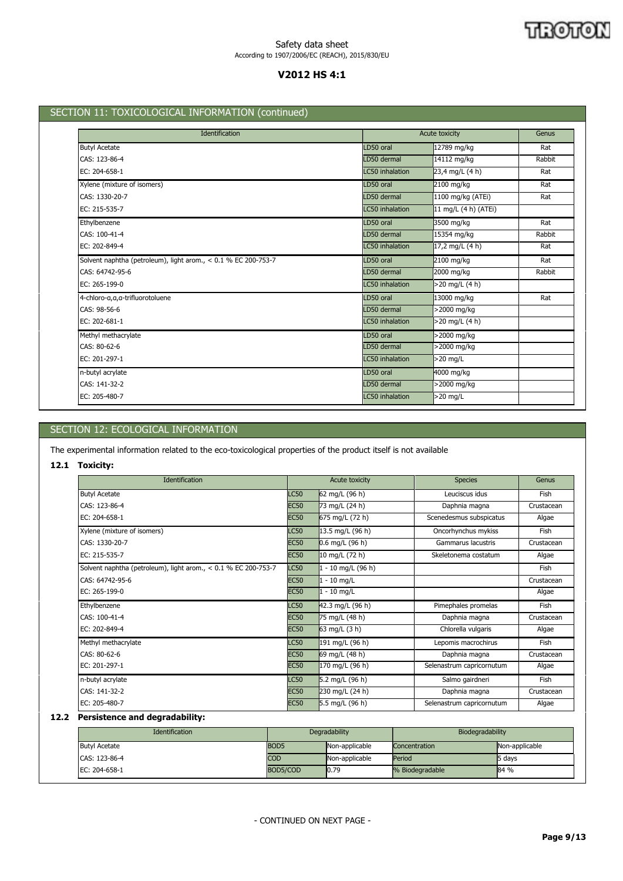## जारी जाति N

## Safety data sheet According to 1907/2006/EC (REACH), 2015/830/EU

# **V2012 HS 4:1**

# SECTION 11: TOXICOLOGICAL INFORMATION (continued)

| Identification                                                 |                        | Acute toxicity       | Genus  |
|----------------------------------------------------------------|------------------------|----------------------|--------|
| <b>Butyl Acetate</b>                                           | LD50 oral              | 12789 mg/kg          | Rat    |
| CAS: 123-86-4                                                  | LD50 dermal            | 14112 mg/kg          | Rabbit |
| EC: 204-658-1                                                  | <b>LC50</b> inhalation | 23,4 mg/L (4 h)      | Rat    |
| Xylene (mixture of isomers)                                    | LD50 oral              | 2100 mg/kg           | Rat    |
| CAS: 1330-20-7                                                 | LD50 dermal            | 1100 mg/kg (ATEi)    | Rat    |
| EC: 215-535-7                                                  | <b>LC50</b> inhalation | 11 mg/L (4 h) (ATEi) |        |
| Ethylbenzene                                                   | LD50 oral              | 3500 mg/kg           | Rat    |
| CAS: 100-41-4                                                  | LD50 dermal            | 15354 mg/kg          | Rabbit |
| EC: 202-849-4                                                  | <b>LC50</b> inhalation | 17,2 mg/L (4 h)      | Rat    |
| Solvent naphtha (petroleum), light arom., < 0.1 % EC 200-753-7 | LD50 oral              | 2100 mg/kg           | Rat    |
| CAS: 64742-95-6                                                | LD50 dermal            | 2000 mg/kg           | Rabbit |
| EC: 265-199-0                                                  | <b>LC50</b> inhalation | >20 mg/L (4 h)       |        |
| 4-chloro-a,a,a-trifluorotoluene                                | LD50 oral              | 13000 mg/kg          | Rat    |
| CAS: 98-56-6                                                   | LD50 dermal            | >2000 mg/kg          |        |
| EC: 202-681-1                                                  | <b>LC50</b> inhalation | >20 mg/L (4 h)       |        |
| Methyl methacrylate                                            | LD50 oral              | >2000 mg/kg          |        |
| CAS: 80-62-6                                                   | LD50 dermal            | >2000 mg/kg          |        |
| EC: 201-297-1                                                  | <b>LC50</b> inhalation | >20 mg/L             |        |
| n-butyl acrylate                                               | LD50 oral              | 4000 mg/kg           |        |
| CAS: 141-32-2                                                  | LD50 dermal            | >2000 mg/kg          |        |
| EC: 205-480-7                                                  | <b>LC50</b> inhalation | $>20$ mg/L           |        |

# SECTION 12: ECOLOGICAL INFORMATION

The experimental information related to the eco-toxicological properties of the product itself is not available

## **12.1 Toxicity:**

| <b>Identification</b>                                          |             | Acute toxicity     | <b>Species</b>            | Genus       |
|----------------------------------------------------------------|-------------|--------------------|---------------------------|-------------|
| <b>Butyl Acetate</b>                                           | <b>LC50</b> | 62 mg/L (96 h)     | Leuciscus idus            | <b>Fish</b> |
| CAS: 123-86-4                                                  | <b>EC50</b> | 73 mg/L (24 h)     | Daphnia magna             | Crustacean  |
| EC: 204-658-1                                                  | <b>EC50</b> | 675 mg/L (72 h)    | Scenedesmus subspicatus   | Algae       |
| Xylene (mixture of isomers)                                    | <b>LC50</b> | 13.5 mg/L (96 h)   | Oncorhynchus mykiss       | Fish        |
| CAS: 1330-20-7                                                 | <b>EC50</b> | $0.6$ mg/L (96 h)  | Gammarus lacustris        | Crustacean  |
| EC: 215-535-7                                                  | <b>EC50</b> | 10 mg/L (72 h)     | Skeletonema costatum      | Algae       |
| Solvent naphtha (petroleum), light arom., < 0.1 % EC 200-753-7 | <b>LC50</b> | 1 - 10 mg/L (96 h) |                           | Fish        |
| CAS: 64742-95-6                                                | <b>EC50</b> | $1 - 10$ mg/L      |                           | Crustacean  |
| EC: 265-199-0                                                  | <b>EC50</b> | $1 - 10$ mg/L      |                           | Algae       |
| Ethylbenzene                                                   | <b>LC50</b> | 42.3 mg/L (96 h)   | Pimephales promelas       | <b>Fish</b> |
| CAS: 100-41-4                                                  | <b>EC50</b> | 75 mg/L (48 h)     | Daphnia magna             | Crustacean  |
| EC: 202-849-4                                                  | <b>EC50</b> | 63 mg/L (3 h)      | Chlorella vulgaris        | Algae       |
| Methyl methacrylate                                            | <b>LC50</b> | 191 mg/L (96 h)    | Lepomis macrochirus       | Fish        |
| CAS: 80-62-6                                                   | <b>EC50</b> | 69 mg/L (48 h)     | Daphnia magna             | Crustacean  |
| EC: 201-297-1                                                  | <b>EC50</b> | 170 mg/L (96 h)    | Selenastrum capricornutum | Algae       |
| n-butyl acrylate                                               | <b>LC50</b> | 5.2 mg/L (96 h)    | Salmo gairdneri           | <b>Fish</b> |
| CAS: 141-32-2                                                  | <b>EC50</b> | 230 mg/L (24 h)    | Daphnia magna             | Crustacean  |
| EC: 205-480-7                                                  | <b>EC50</b> | 5.5 mg/L (96 h)    | Selenastrum capricornutum | Algae       |

# **12.2 Persistence and degradability:**

| <b>Identification</b> | Degradability    |                | Biodegradability |                |
|-----------------------|------------------|----------------|------------------|----------------|
| <b>Butyl Acetate</b>  | BOD <sub>5</sub> | Non-applicable | Concentration    | Non-applicable |
| CAS: 123-86-4         | <b>COD</b>       | Non-applicable | Period           | 5 days         |
| EC: 204-658-1         | BOD5/COD         | 0.79           | % Biodegradable  | 84 %           |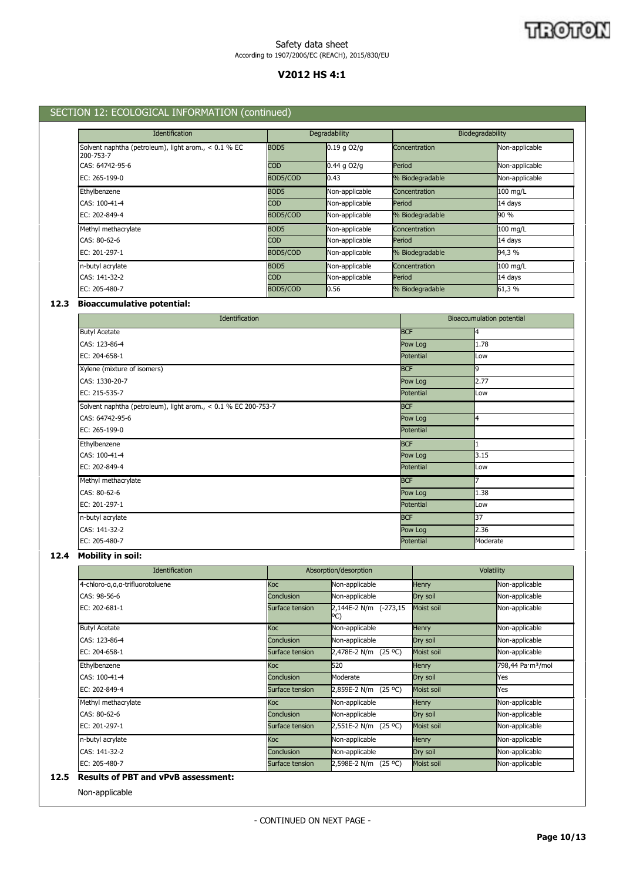# **V2012 HS 4:1**

# SECTION 12: ECOLOGICAL INFORMATION (continued)

| <b>Identification</b>                                               |                  | Degradability   |                 | Biodegradability |  |
|---------------------------------------------------------------------|------------------|-----------------|-----------------|------------------|--|
| Solvent naphtha (petroleum), light arom., $< 0.1$ % EC<br>200-753-7 | BOD <sub>5</sub> | $0.19$ g $OZ/g$ | Concentration   | Non-applicable   |  |
| CAS: 64742-95-6                                                     | <b>COD</b>       | $0.44$ g $O2/q$ | Period          | Non-applicable   |  |
| EC: $265-199-0$                                                     | BOD5/COD         | 0.43            | % Biodegradable | Non-applicable   |  |
| Ethylbenzene                                                        | BOD <sub>5</sub> | Non-applicable  | Concentration   | 100 mg/L         |  |
| CAS: 100-41-4                                                       | <b>COD</b>       | Non-applicable  | Period          | $14$ days        |  |
| EC: 202-849-4                                                       | BOD5/COD         | Non-applicable  | % Biodegradable | 90 %             |  |
| Methyl methacrylate                                                 | BOD <sub>5</sub> | Non-applicable  | Concentration   | 100 mg/L         |  |
| CAS: 80-62-6                                                        | <b>COD</b>       | Non-applicable  | Period          | $14$ days        |  |
| EC: 201-297-1                                                       | BOD5/COD         | Non-applicable  | % Biodegradable | 94,3 %           |  |
| n-butyl acrylate                                                    | BOD <sub>5</sub> | Non-applicable  | Concentration   | 100 mg/L         |  |
| CAS: 141-32-2                                                       | <b>COD</b>       | Non-applicable  | Period          | $14$ days        |  |
| EC: 205-480-7                                                       | BOD5/COD         | 0.56            | % Biodegradable | 61,3 %           |  |

# **12.3 Bioaccumulative potential:**

| Identification                                                 | Bioaccumulation potential |          |  |
|----------------------------------------------------------------|---------------------------|----------|--|
| <b>Butyl Acetate</b>                                           | <b>BCF</b>                | 4        |  |
| CAS: 123-86-4                                                  | Pow Log                   | 1.78     |  |
| EC: 204-658-1                                                  | Potential                 | Low      |  |
| Xylene (mixture of isomers)                                    | <b>BCF</b>                | 9        |  |
| CAS: 1330-20-7                                                 | Pow Log                   | 2.77     |  |
| EC: 215-535-7                                                  | Potential                 | Low      |  |
| Solvent naphtha (petroleum), light arom., < 0.1 % EC 200-753-7 | <b>BCF</b>                |          |  |
| CAS: 64742-95-6                                                | Pow Log                   | 4        |  |
| EC: 265-199-0                                                  | Potential                 |          |  |
| Ethylbenzene                                                   | <b>BCF</b>                |          |  |
| CAS: 100-41-4                                                  | Pow Log                   | 3.15     |  |
| EC: 202-849-4                                                  | Potential                 | Low      |  |
| Methyl methacrylate                                            | <b>BCF</b>                |          |  |
| CAS: 80-62-6                                                   | Pow Log                   | 1.38     |  |
| EC: 201-297-1                                                  | Potential                 | Low      |  |
| n-butyl acrylate                                               | <b>BCF</b>                | 37       |  |
| CAS: 141-32-2                                                  | Pow Log                   | 2.36     |  |
| EC: 205-480-7                                                  | Potential                 | Moderate |  |

# **12.4 Mobility in soil:**

| <b>Identification</b>           |                   | Absorption/desorption           | Volatility   |                               |
|---------------------------------|-------------------|---------------------------------|--------------|-------------------------------|
| 4-chloro-a,a,a-trifluorotoluene | <b>Koc</b>        | Non-applicable                  | <b>Henry</b> | Non-applicable                |
| CAS: 98-56-6                    | Conclusion        | Non-applicable                  | Dry soil     | Non-applicable                |
| EC: 202-681-1                   | Surface tension   | $2,144E-2 N/m$ (-273,15)<br>PC) | Moist soil   | Non-applicable                |
| <b>Butyl Acetate</b>            | <b>Koc</b>        | Non-applicable                  | <b>Henry</b> | Non-applicable                |
| CAS: 123-86-4                   | <b>Conclusion</b> | Non-applicable                  | Dry soil     | Non-applicable                |
| EC: 204-658-1                   | Surface tension   | 2,478E-2 N/m (25 °C)            | Moist soil   | Non-applicable                |
| Ethylbenzene                    | <b>Koc</b>        | 520                             | <b>Henry</b> | 798,44 Pa·m <sup>3</sup> /mol |
| CAS: 100-41-4                   | Conclusion        | Moderate                        | Dry soil     | Yes                           |
| EC: 202-849-4                   | Surface tension   | 2,859E-2 N/m (25 °C)            | Moist soil   | Yes                           |
| Methyl methacrylate             | <b>Koc</b>        | Non-applicable                  | <b>Henry</b> | Non-applicable                |
| CAS: 80-62-6                    | <b>Conclusion</b> | Non-applicable                  | Dry soil     | Non-applicable                |
| EC: 201-297-1                   | Surface tension   | 2,551E-2 N/m (25 °C)            | Moist soil   | Non-applicable                |
| n-butyl acrylate                | <b>Koc</b>        | Non-applicable                  | <b>Henry</b> | Non-applicable                |
| CAS: 141-32-2                   | <b>Conclusion</b> | Non-applicable                  | Dry soil     | Non-applicable                |
| EC: 205-480-7                   | Surface tension   | 2,598E-2 N/m (25 °C)            | Moist soil   | Non-applicable                |

## **12.5 Results of PBT and vPvB assessment:**

Non-applicable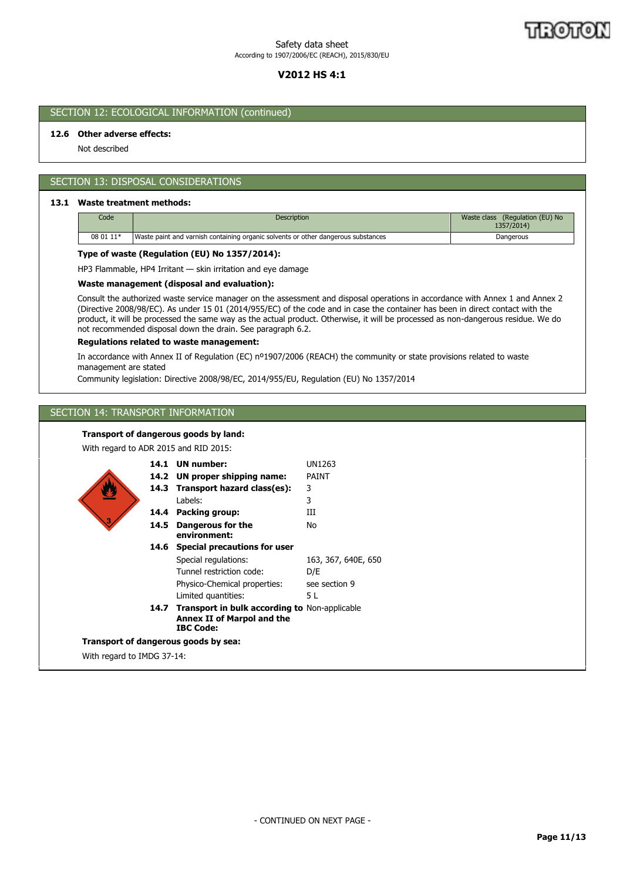# **V2012 HS 4:1**

# SECTION 12: ECOLOGICAL INFORMATION (continued)

## **12.6 Other adverse effects:**

Not described

# SECTION 13: DISPOSAL CONSIDERATIONS

## **13.1 Waste treatment methods:**

| Code      | <b>Description</b>                                                                | (Regulation (EU) No<br>Waste class<br>1357/2014) |
|-----------|-----------------------------------------------------------------------------------|--------------------------------------------------|
| 08 01 11* | Waste paint and varnish containing organic solvents or other dangerous substances | Dangerous                                        |

## **Type of waste (Regulation (EU) No 1357/2014):**

HP3 Flammable, HP4 Irritant — skin irritation and eye damage

## **Waste management (disposal and evaluation):**

Consult the authorized waste service manager on the assessment and disposal operations in accordance with Annex 1 and Annex 2 (Directive 2008/98/EC). As under 15 01 (2014/955/EC) of the code and in case the container has been in direct contact with the product, it will be processed the same way as the actual product. Otherwise, it will be processed as non-dangerous residue. We do not recommended disposal down the drain. See paragraph 6.2.

#### **Regulations related to waste management:**

In accordance with Annex II of Regulation (EC) nº1907/2006 (REACH) the community or state provisions related to waste management are stated

Community legislation: Directive 2008/98/EC, 2014/955/EU, Regulation (EU) No 1357/2014

# SECTION 14: TRANSPORT INFORMATION

#### **Transport of dangerous goods by land:**

With regard to ADR 2015 and RID 2015:

|                                      |      | 14.1 UN number:                                                                                               | UN1263              |  |  |
|--------------------------------------|------|---------------------------------------------------------------------------------------------------------------|---------------------|--|--|
|                                      |      | 14.2 UN proper shipping name:                                                                                 | <b>PAINT</b>        |  |  |
|                                      |      | 14.3 Transport hazard class(es):                                                                              | 3                   |  |  |
|                                      |      | Labels:                                                                                                       | 3                   |  |  |
|                                      | 14.4 | Packing group:                                                                                                | Ш                   |  |  |
| з                                    | 14.5 | Dangerous for the<br>environment:                                                                             | <b>No</b>           |  |  |
|                                      | 14.6 | <b>Special precautions for user</b>                                                                           |                     |  |  |
|                                      |      | Special regulations:                                                                                          | 163, 367, 640E, 650 |  |  |
|                                      |      | Tunnel restriction code:                                                                                      | D/E                 |  |  |
|                                      |      | Physico-Chemical properties:                                                                                  | see section 9       |  |  |
|                                      |      | Limited quantities:                                                                                           | 5 L                 |  |  |
|                                      | 14.7 | <b>Transport in bulk according to Non-applicable</b><br><b>Annex II of Marpol and the</b><br><b>IBC Code:</b> |                     |  |  |
| Transport of dangerous goods by sea: |      |                                                                                                               |                     |  |  |
|                                      |      |                                                                                                               |                     |  |  |

With regard to IMDG 37-14: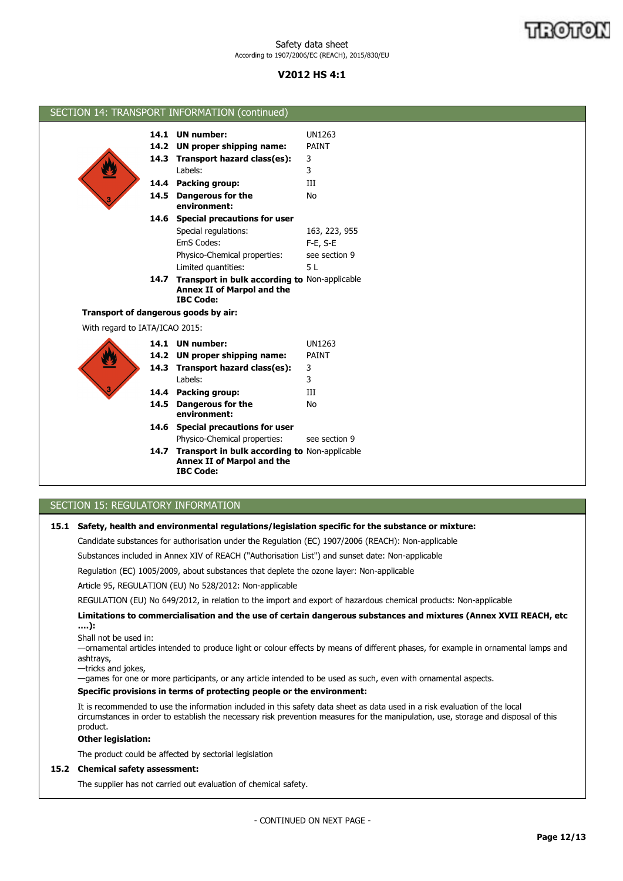# **V2012 HS 4:1**

|                                      | SECTION 14: TRANSPORT INFORMATION (continued)                                                               |               |  |
|--------------------------------------|-------------------------------------------------------------------------------------------------------------|---------------|--|
|                                      |                                                                                                             |               |  |
|                                      | 14.1 UN number:                                                                                             | <b>UN1263</b> |  |
|                                      | 14.2 UN proper shipping name:                                                                               | PAINT         |  |
|                                      | 14.3 Transport hazard class(es):                                                                            | 3             |  |
|                                      | Labels:                                                                                                     | 3             |  |
|                                      | 14.4 Packing group:                                                                                         | Ш             |  |
|                                      | 14.5 Dangerous for the<br>environment:                                                                      | <b>No</b>     |  |
|                                      | 14.6 Special precautions for user                                                                           |               |  |
|                                      | Special regulations:                                                                                        | 163, 223, 955 |  |
|                                      | EmS Codes:                                                                                                  | $F-E$ , $S-E$ |  |
|                                      | Physico-Chemical properties:                                                                                | see section 9 |  |
|                                      | Limited quantities:                                                                                         | 5L            |  |
|                                      | 14.7 Transport in bulk according to Non-applicable<br><b>Annex II of Marpol and the</b><br><b>IBC Code:</b> |               |  |
| Transport of dangerous goods by air: |                                                                                                             |               |  |
| With regard to IATA/ICAO 2015:       |                                                                                                             |               |  |
|                                      | 14.1 UN number:                                                                                             | <b>UN1263</b> |  |
|                                      | 14.2 UN proper shipping name:                                                                               | PAINT         |  |
|                                      | 14.3 Transport hazard class(es):                                                                            | 3             |  |
|                                      | Labels:                                                                                                     | 3             |  |
|                                      | 14.4 Packing group:                                                                                         | III           |  |
| 14.5                                 | <b>Dangerous for the</b><br>environment:                                                                    | <b>No</b>     |  |
|                                      | 14.6 Special precautions for user                                                                           |               |  |
|                                      | Physico-Chemical properties:                                                                                | see section 9 |  |
|                                      | 14.7 Transport in bulk according to Non-applicable<br><b>Annex II of Marpol and the</b><br><b>IBC Code:</b> |               |  |

# SECTION 15: REGULATORY INFORMATION

## **15.1 Safety, health and environmental regulations/legislation specific for the substance or mixture:**

Candidate substances for authorisation under the Regulation (EC) 1907/2006 (REACH): Non-applicable

Substances included in Annex XIV of REACH ("Authorisation List") and sunset date: Non-applicable

Regulation (EC) 1005/2009, about substances that deplete the ozone layer: Non-applicable

Article 95, REGULATION (EU) No 528/2012: Non-applicable

REGULATION (EU) No 649/2012, in relation to the import and export of hazardous chemical products: Non-applicable

**Limitations to commercialisation and the use of certain dangerous substances and mixtures (Annex XVII REACH, etc ….):**

Shall not be used in:

—ornamental articles intended to produce light or colour effects by means of different phases, for example in ornamental lamps and ashtrays,

—tricks and jokes,

—games for one or more participants, or any article intended to be used as such, even with ornamental aspects.

# **Specific provisions in terms of protecting people or the environment:**

It is recommended to use the information included in this safety data sheet as data used in a risk evaluation of the local circumstances in order to establish the necessary risk prevention measures for the manipulation, use, storage and disposal of this product.

## **Other legislation:**

The product could be affected by sectorial legislation

## **15.2 Chemical safety assessment:**

The supplier has not carried out evaluation of chemical safety.

- CONTINUED ON NEXT PAGE -